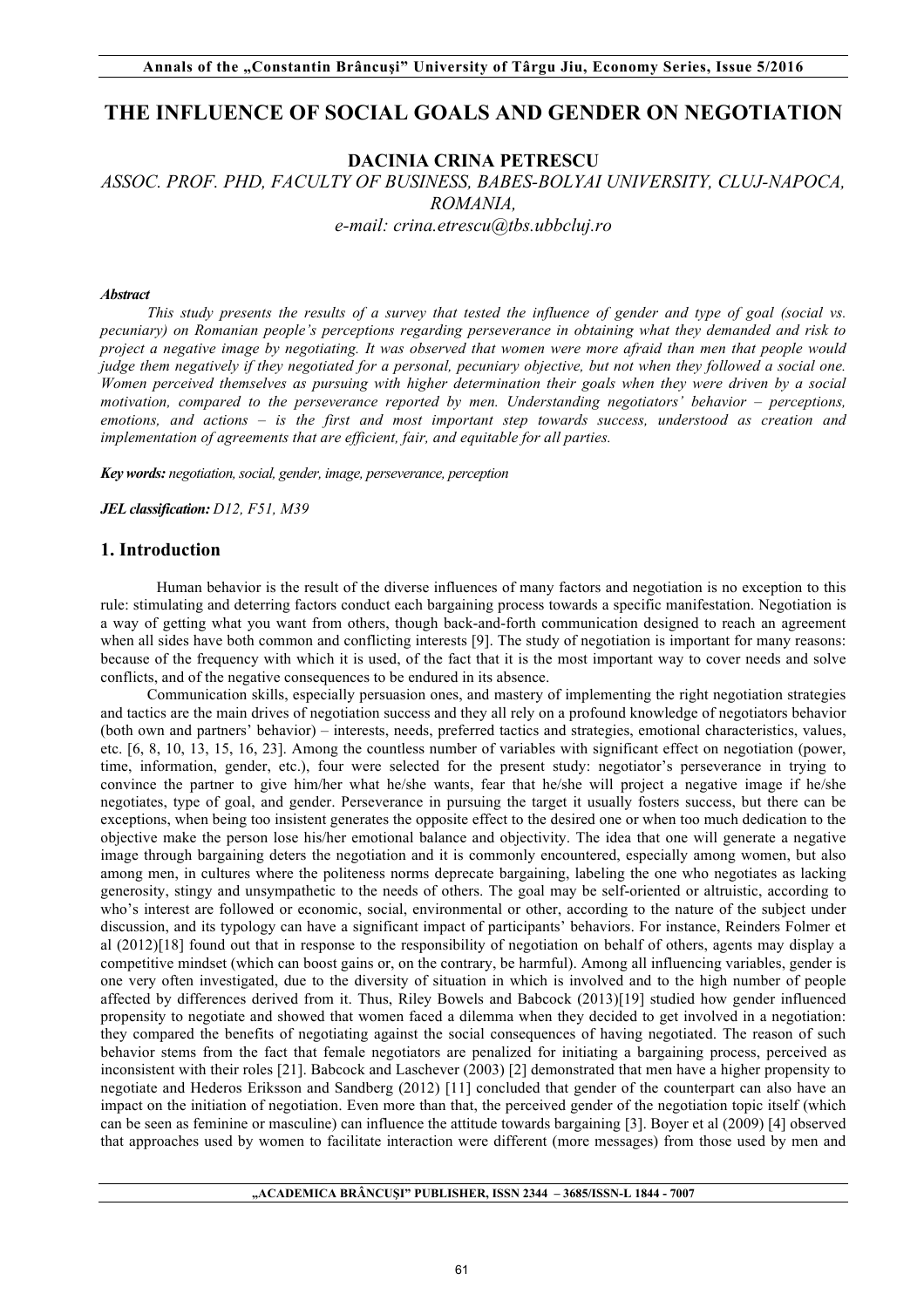# **THE INFLUENCE OF SOCIAL GOALS AND GENDER ON NEGOTIATION**

# **DACINIA CRINA PETRESCU**

# *ASSOC. PROF. PHD, FACULTY OF BUSINESS, BABES-BOLYAI UNIVERSITY, CLUJ-NAPOCA, ROMANIA, e-mail: crina.etrescu@tbs.ubbcluj.ro*

#### *Abstract*

*This study presents the results of a survey that tested the influence of gender and type of goal (social vs. pecuniary) on Romanian people's perceptions regarding perseverance in obtaining what they demanded and risk to project a negative image by negotiating. It was observed that women were more afraid than men that people would judge them negatively if they negotiated for a personal, pecuniary objective, but not when they followed a social one. Women perceived themselves as pursuing with higher determination their goals when they were driven by a social motivation, compared to the perseverance reported by men. Understanding negotiators' behavior – perceptions, emotions, and actions – is the first and most important step towards success, understood as creation and implementation of agreements that are efficient, fair, and equitable for all parties.*

*Key words: negotiation, social, gender, image, perseverance, perception* 

*JEL classification: D12, F51, M39*

## **1. Introduction**

Human behavior is the result of the diverse influences of many factors and negotiation is no exception to this rule: stimulating and deterring factors conduct each bargaining process towards a specific manifestation. Negotiation is a way of getting what you want from others, though back-and-forth communication designed to reach an agreement when all sides have both common and conflicting interests [9]. The study of negotiation is important for many reasons: because of the frequency with which it is used, of the fact that it is the most important way to cover needs and solve conflicts, and of the negative consequences to be endured in its absence.

Communication skills, especially persuasion ones, and mastery of implementing the right negotiation strategies and tactics are the main drives of negotiation success and they all rely on a profound knowledge of negotiators behavior (both own and partners' behavior) – interests, needs, preferred tactics and strategies, emotional characteristics, values, etc. [6, 8, 10, 13, 15, 16, 23]. Among the countless number of variables with significant effect on negotiation (power, time, information, gender, etc.), four were selected for the present study: negotiator's perseverance in trying to convince the partner to give him/her what he/she wants, fear that he/she will project a negative image if he/she negotiates, type of goal, and gender. Perseverance in pursuing the target it usually fosters success, but there can be exceptions, when being too insistent generates the opposite effect to the desired one or when too much dedication to the objective make the person lose his/her emotional balance and objectivity. The idea that one will generate a negative image through bargaining deters the negotiation and it is commonly encountered, especially among women, but also among men, in cultures where the politeness norms deprecate bargaining, labeling the one who negotiates as lacking generosity, stingy and unsympathetic to the needs of others. The goal may be self-oriented or altruistic, according to who's interest are followed or economic, social, environmental or other, according to the nature of the subject under discussion, and its typology can have a significant impact of participants' behaviors. For instance, Reinders Folmer et al (2012)[18] found out that in response to the responsibility of negotiation on behalf of others, agents may display a competitive mindset (which can boost gains or, on the contrary, be harmful). Among all influencing variables, gender is one very often investigated, due to the diversity of situation in which is involved and to the high number of people affected by differences derived from it. Thus, Riley Bowels and Babcock (2013)[19] studied how gender influenced propensity to negotiate and showed that women faced a dilemma when they decided to get involved in a negotiation: they compared the benefits of negotiating against the social consequences of having negotiated. The reason of such behavior stems from the fact that female negotiators are penalized for initiating a bargaining process, perceived as inconsistent with their roles [21]. Babcock and Laschever (2003) [2] demonstrated that men have a higher propensity to negotiate and Hederos Eriksson and Sandberg (2012) [11] concluded that gender of the counterpart can also have an impact on the initiation of negotiation. Even more than that, the perceived gender of the negotiation topic itself (which can be seen as feminine or masculine) can influence the attitude towards bargaining [3]. Boyer et al (2009) [4] observed that approaches used by women to facilitate interaction were different (more messages) from those used by men and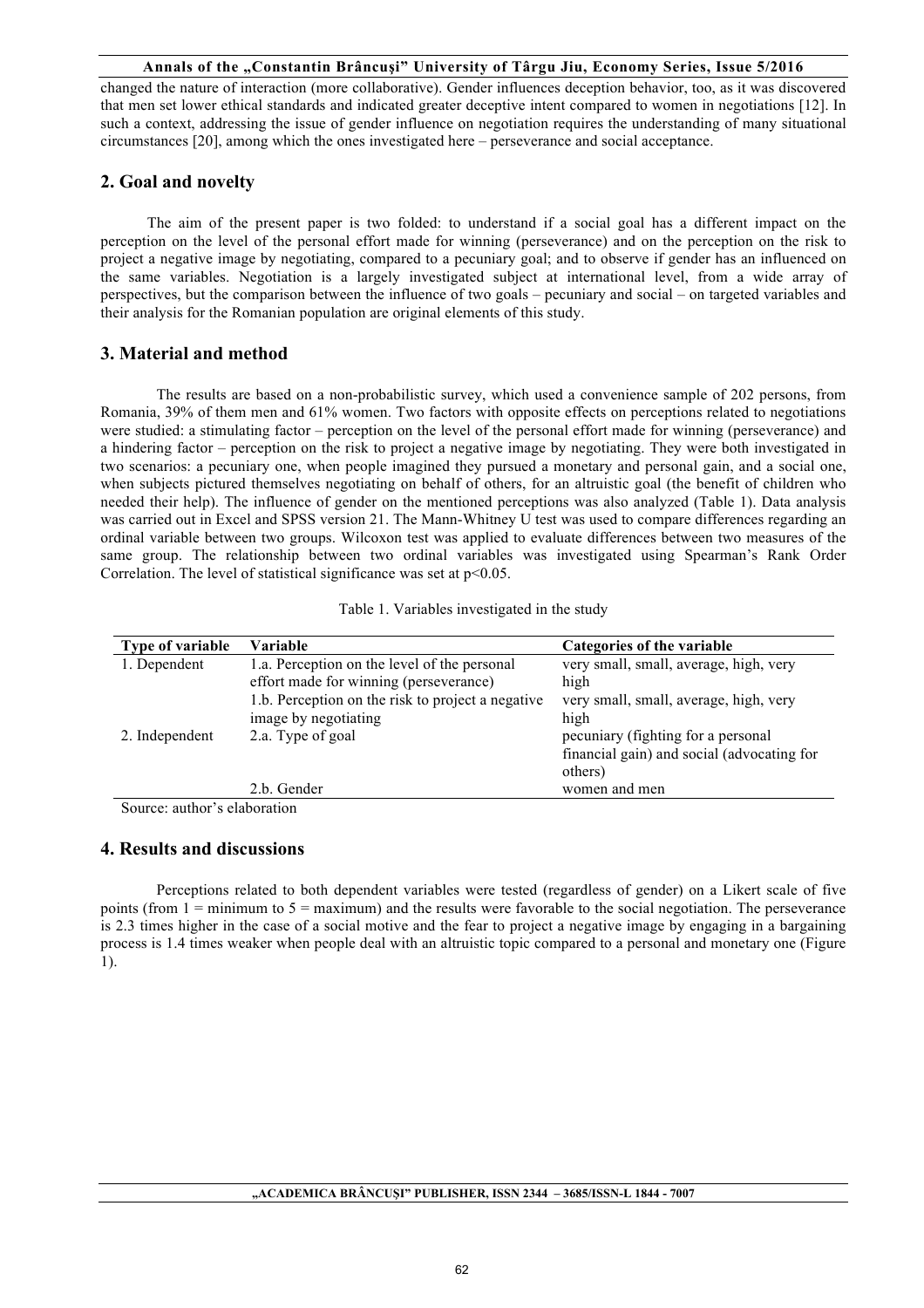changed the nature of interaction (more collaborative). Gender influences deception behavior, too, as it was discovered that men set lower ethical standards and indicated greater deceptive intent compared to women in negotiations [12]. In such a context, addressing the issue of gender influence on negotiation requires the understanding of many situational circumstances [20], among which the ones investigated here – perseverance and social acceptance.

# **2. Goal and novelty**

The aim of the present paper is two folded: to understand if a social goal has a different impact on the perception on the level of the personal effort made for winning (perseverance) and on the perception on the risk to project a negative image by negotiating, compared to a pecuniary goal; and to observe if gender has an influenced on the same variables. Negotiation is a largely investigated subject at international level, from a wide array of perspectives, but the comparison between the influence of two goals – pecuniary and social – on targeted variables and their analysis for the Romanian population are original elements of this study.

## **3. Material and method**

The results are based on a non-probabilistic survey, which used a convenience sample of 202 persons, from Romania, 39% of them men and 61% women. Two factors with opposite effects on perceptions related to negotiations were studied: a stimulating factor – perception on the level of the personal effort made for winning (perseverance) and a hindering factor – perception on the risk to project a negative image by negotiating. They were both investigated in two scenarios: a pecuniary one, when people imagined they pursued a monetary and personal gain, and a social one, when subjects pictured themselves negotiating on behalf of others, for an altruistic goal (the benefit of children who needed their help). The influence of gender on the mentioned perceptions was also analyzed (Table 1). Data analysis was carried out in Excel and SPSS version 21. The Mann-Whitney U test was used to compare differences regarding an ordinal variable between two groups. Wilcoxon test was applied to evaluate differences between two measures of the same group. The relationship between two ordinal variables was investigated using Spearman's Rank Order Correlation. The level of statistical significance was set at  $p<0.05$ .

| <b>Type of variable</b> | Variable                                          | Categories of the variable                 |
|-------------------------|---------------------------------------------------|--------------------------------------------|
| 1. Dependent            | 1.a. Perception on the level of the personal      | very small, small, average, high, very     |
|                         | effort made for winning (perseverance)            | high                                       |
|                         | 1.b. Perception on the risk to project a negative | very small, small, average, high, very     |
|                         | image by negotiating                              | high                                       |
| 2. Independent          | 2.a. Type of goal                                 | pecuniary (fighting for a personal         |
|                         |                                                   | financial gain) and social (advocating for |
|                         |                                                   | others)                                    |
|                         | 2.b. Gender                                       | women and men                              |

Source: author's elaboration

## **4. Results and discussions**

Perceptions related to both dependent variables were tested (regardless of gender) on a Likert scale of five points (from  $1 =$  minimum to  $5 =$  maximum) and the results were favorable to the social negotiation. The perseverance is 2.3 times higher in the case of a social motive and the fear to project a negative image by engaging in a bargaining process is 1.4 times weaker when people deal with an altruistic topic compared to a personal and monetary one (Figure 1).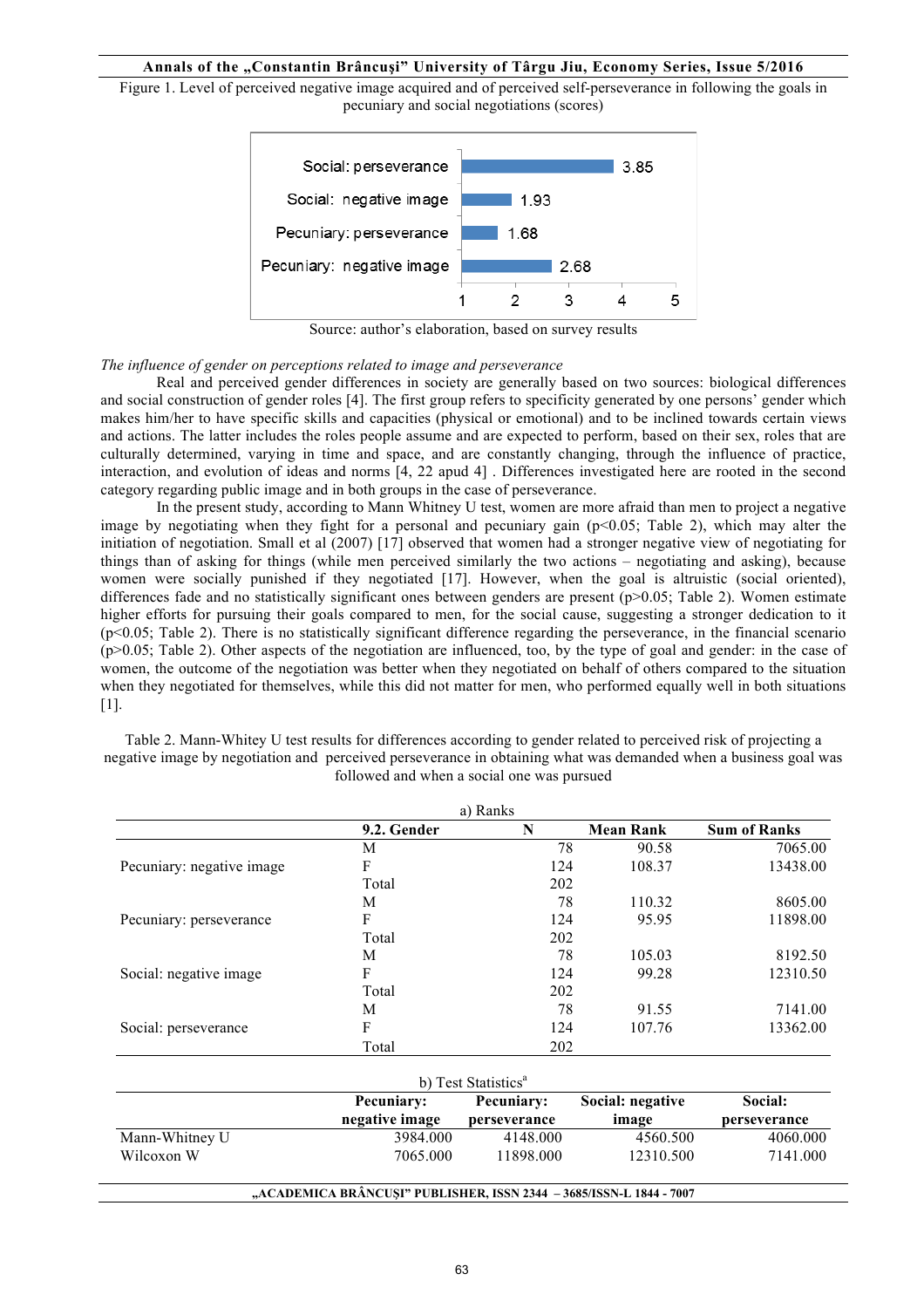Figure 1. Level of perceived negative image acquired and of perceived self-perseverance in following the goals in pecuniary and social negotiations (scores)



Source: author's elaboration, based on survey results

#### *The influence of gender on perceptions related to image and perseverance*

Real and perceived gender differences in society are generally based on two sources: biological differences and social construction of gender roles [4]. The first group refers to specificity generated by one persons' gender which makes him/her to have specific skills and capacities (physical or emotional) and to be inclined towards certain views and actions. The latter includes the roles people assume and are expected to perform, based on their sex, roles that are culturally determined, varying in time and space, and are constantly changing, through the influence of practice, interaction, and evolution of ideas and norms [4, 22 apud 4] . Differences investigated here are rooted in the second category regarding public image and in both groups in the case of perseverance.

In the present study, according to Mann Whitney U test, women are more afraid than men to project a negative image by negotiating when they fight for a personal and pecuniary gain (p<0.05; Table 2), which may alter the initiation of negotiation. Small et al (2007) [17] observed that women had a stronger negative view of negotiating for things than of asking for things (while men perceived similarly the two actions – negotiating and asking), because women were socially punished if they negotiated [17]. However, when the goal is altruistic (social oriented), differences fade and no statistically significant ones between genders are present (p>0.05; Table 2). Women estimate higher efforts for pursuing their goals compared to men, for the social cause, suggesting a stronger dedication to it (p<0.05; Table 2). There is no statistically significant difference regarding the perseverance, in the financial scenario (p>0.05; Table 2). Other aspects of the negotiation are influenced, too, by the type of goal and gender: in the case of women, the outcome of the negotiation was better when they negotiated on behalf of others compared to the situation when they negotiated for themselves, while this did not matter for men, who performed equally well in both situations [1].

Table 2. Mann-Whitey U test results for differences according to gender related to perceived risk of projecting a negative image by negotiation and perceived perseverance in obtaining what was demanded when a business goal was followed and when a social one was pursued

|                           |             | a) Ranks |                  |                     |
|---------------------------|-------------|----------|------------------|---------------------|
|                           | 9.2. Gender | N        | <b>Mean Rank</b> | <b>Sum of Ranks</b> |
|                           | M           | 78       | 90.58            | 7065.00             |
| Pecuniary: negative image | F           | 124      | 108.37           | 13438.00            |
|                           | Total       | 202      |                  |                     |
|                           | M           | 78       | 110.32           | 8605.00             |
| Pecuniary: perseverance   | F           | 124      | 95.95            | 11898.00            |
|                           | Total       | 202      |                  |                     |
|                           | M           | 78       | 105.03           | 8192.50             |
| Social: negative image    | F           | 124      | 99.28            | 12310.50            |
|                           | Total       | 202      |                  |                     |
|                           | M           | 78       | 91.55            | 7141.00             |
| Social: perseverance      | F           | 124      | 107.76           | 13362.00            |
|                           | Total       | 202      |                  |                     |

| b) Test Statistics <sup>a</sup>                                                                                           |          |           |           |          |  |  |
|---------------------------------------------------------------------------------------------------------------------------|----------|-----------|-----------|----------|--|--|
| Social: negative<br>Social:<br>Pecuniary:<br>Pecuniary:<br>negative image<br>image<br>perseverance<br><b>perseverance</b> |          |           |           |          |  |  |
| Mann-Whitney U                                                                                                            | 3984.000 | 4148.000  | 4560.500  | 4060.000 |  |  |
| Wilcoxon W                                                                                                                | 7065.000 | 11898.000 | 12310.500 | 7141.000 |  |  |
|                                                                                                                           |          |           |           |          |  |  |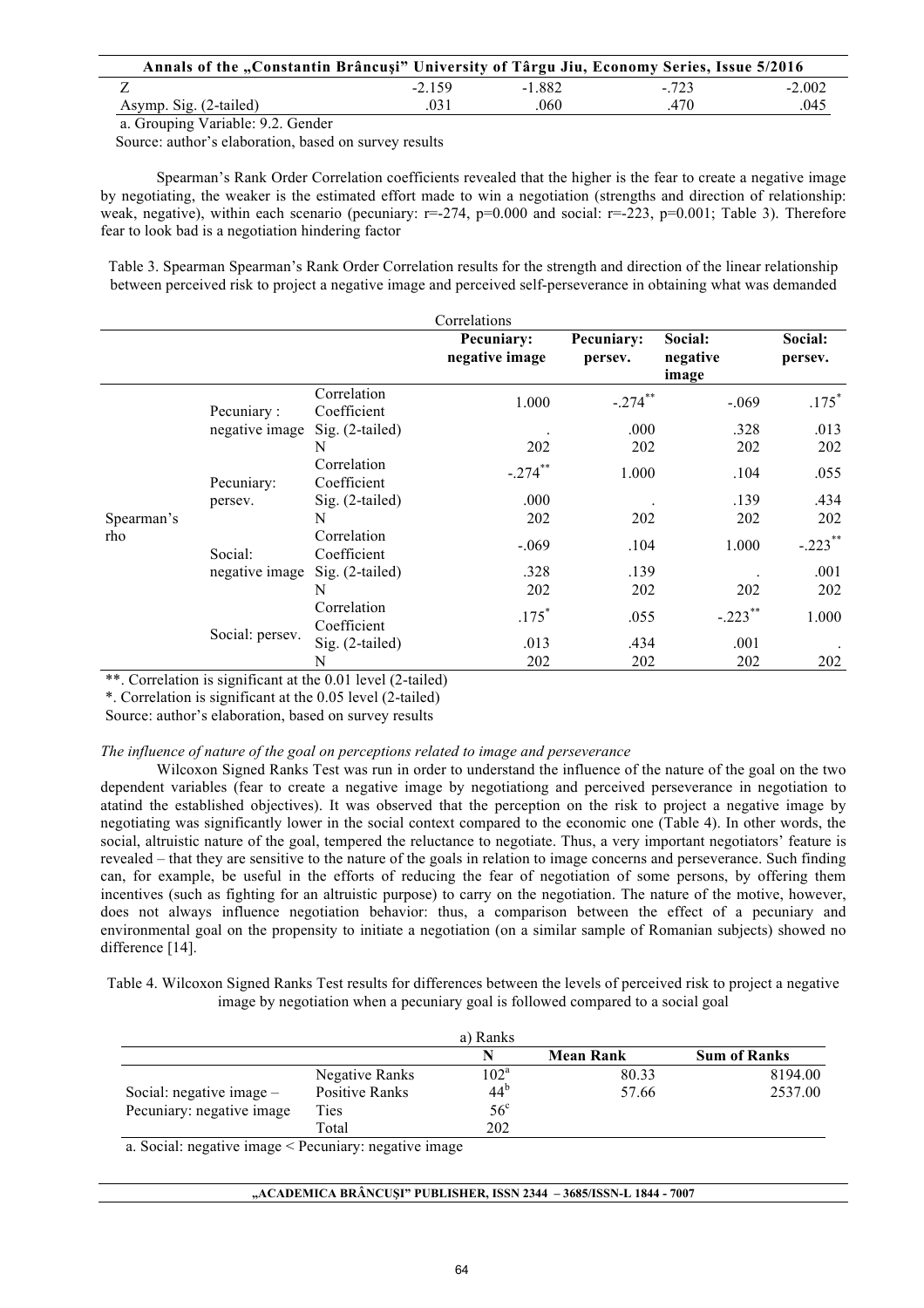| Annals of the "Constantin Brâncuși" University of Târgu Jiu, Economy Series, Issue 5/2016 |          |          |        |          |
|-------------------------------------------------------------------------------------------|----------|----------|--------|----------|
|                                                                                           | $-2.159$ | $-1.882$ | $-723$ | $-2.002$ |
| Asymp. Sig. (2-tailed)                                                                    | .031     | 060      | 470    | .045     |
| $\alpha$ and $\alpha$ is $\alpha$ is $\alpha$ in $\alpha$ in $\alpha$ in $\alpha$         |          |          |        |          |

a. Grouping Variable: 9.2. Gender

Source: author's elaboration, based on survey results

Spearman's Rank Order Correlation coefficients revealed that the higher is the fear to create a negative image by negotiating, the weaker is the estimated effort made to win a negotiation (strengths and direction of relationship: weak, negative), within each scenario (pecuniary:  $r=-274$ ,  $p=0.000$  and social:  $r=-223$ ,  $p=0.001$ ; Table 3). Therefore fear to look bad is a negotiation hindering factor

Table 3. Spearman Spearman's Rank Order Correlation results for the strength and direction of the linear relationship between perceived risk to project a negative image and perceived self-perseverance in obtaining what was demanded

|                   |                                                    |                            | Pecuniary:<br>negative image | Pecuniary:<br>persev. | Social:<br>negative<br>image | Social:<br>persev. |
|-------------------|----------------------------------------------------|----------------------------|------------------------------|-----------------------|------------------------------|--------------------|
|                   | Pecuniary:                                         | Correlation<br>Coefficient | 1.000                        | $-.274$ **            | $-.069$                      | $.175*$            |
|                   | negative image                                     | $Sig. (2-tailed)$<br>N     | 202                          | .000<br>202           | .328<br>202                  | .013<br>202        |
| Spearman's<br>rho | Pecuniary:<br>persey.<br>Social:<br>negative image | Correlation<br>Coefficient | $-.274$ **                   | 1.000                 | .104                         | .055               |
|                   |                                                    | $Sig. (2-tailed)$<br>N     | .000<br>202                  | 202                   | .139<br>202                  | .434<br>202        |
|                   |                                                    | Correlation<br>Coefficient | $-.069$                      | .104                  | 1.000                        | $-.223$ **         |
|                   |                                                    | Sig. (2-tailed)<br>N       | .328<br>202                  | .139<br>202           | 202                          | .001<br>202        |
|                   |                                                    | Correlation<br>Coefficient | $.175*$                      | .055                  | $-.223$ **                   | 1.000              |
|                   | Social: persev.                                    | Sig. (2-tailed)<br>N       | .013<br>202                  | .434<br>202           | .001<br>202                  | 202                |

\*\*. Correlation is significant at the 0.01 level (2-tailed)

\*. Correlation is significant at the 0.05 level (2-tailed)

Source: author's elaboration, based on survey results

### *The influence of nature of the goal on perceptions related to image and perseverance*

Wilcoxon Signed Ranks Test was run in order to understand the influence of the nature of the goal on the two dependent variables (fear to create a negative image by negotiationg and perceived perseverance in negotiation to atatind the established objectives). It was observed that the perception on the risk to project a negative image by negotiating was significantly lower in the social context compared to the economic one (Table 4). In other words, the social, altruistic nature of the goal, tempered the reluctance to negotiate. Thus, a very important negotiators' feature is revealed – that they are sensitive to the nature of the goals in relation to image concerns and perseverance. Such finding can, for example, be useful in the efforts of reducing the fear of negotiation of some persons, by offering them incentives (such as fighting for an altruistic purpose) to carry on the negotiation. The nature of the motive, however, does not always influence negotiation behavior: thus, a comparison between the effect of a pecuniary and environmental goal on the propensity to initiate a negotiation (on a similar sample of Romanian subjects) showed no difference [14].

Table 4. Wilcoxon Signed Ranks Test results for differences between the levels of perceived risk to project a negative image by negotiation when a pecuniary goal is followed compared to a social goal

|                            |                       | a) Ranks        |                  |                     |
|----------------------------|-----------------------|-----------------|------------------|---------------------|
|                            |                       | N               | <b>Mean Rank</b> | <b>Sum of Ranks</b> |
|                            | Negative Ranks        | $102^{\rm a}$   | 80.33            | 8194.00             |
| Social: negative image $-$ | <b>Positive Ranks</b> | 44 <sup>b</sup> | 57.66            | 2537.00             |
| Pecuniary: negative image  | Ties                  | $56^{\circ}$    |                  |                     |
|                            | Total                 | 202             |                  |                     |

a. Social: negative image < Pecuniary: negative image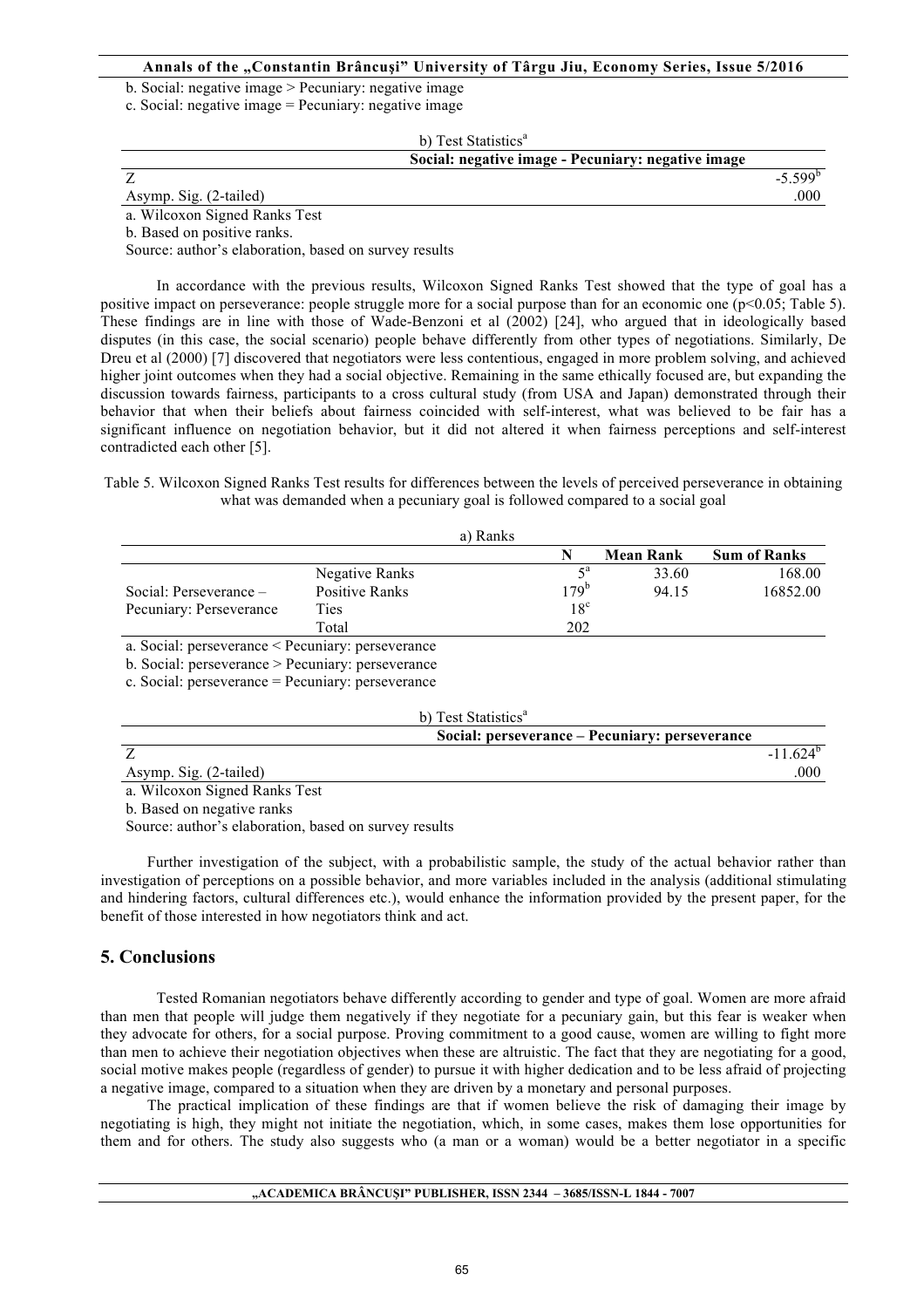b. Social: negative image > Pecuniary: negative image

c. Social: negative image = Pecuniary: negative image

|                               | b) Test Statistics <sup>a</sup>                    |              |
|-------------------------------|----------------------------------------------------|--------------|
|                               | Social: negative image - Pecuniary: negative image |              |
|                               |                                                    | $-5.599^{b}$ |
| Asymp. Sig. (2-tailed)        |                                                    | .000         |
| a. Wilcoxon Signed Ranks Test |                                                    |              |

b. Based on positive ranks.

Source: author's elaboration, based on survey results

In accordance with the previous results, Wilcoxon Signed Ranks Test showed that the type of goal has a positive impact on perseverance: people struggle more for a social purpose than for an economic one ( $p<0.05$ ; Table 5). These findings are in line with those of Wade-Benzoni et al (2002) [24], who argued that in ideologically based disputes (in this case, the social scenario) people behave differently from other types of negotiations. Similarly, De Dreu et al (2000) [7] discovered that negotiators were less contentious, engaged in more problem solving, and achieved higher joint outcomes when they had a social objective. Remaining in the same ethically focused are, but expanding the discussion towards fairness, participants to a cross cultural study (from USA and Japan) demonstrated through their behavior that when their beliefs about fairness coincided with self-interest, what was believed to be fair has a significant influence on negotiation behavior, but it did not altered it when fairness perceptions and self-interest contradicted each other [5].

Table 5. Wilcoxon Signed Ranks Test results for differences between the levels of perceived perseverance in obtaining what was demanded when a pecuniary goal is followed compared to a social goal

|                                                                                                                                                                                                                                                                                                  |                       | a) Ranks |                 |                  |                     |
|--------------------------------------------------------------------------------------------------------------------------------------------------------------------------------------------------------------------------------------------------------------------------------------------------|-----------------------|----------|-----------------|------------------|---------------------|
|                                                                                                                                                                                                                                                                                                  |                       |          |                 | <b>Mean Rank</b> | <b>Sum of Ranks</b> |
|                                                                                                                                                                                                                                                                                                  | Negative Ranks        |          |                 | 33.60            | 168.00              |
| Social: Perseverance –                                                                                                                                                                                                                                                                           | <b>Positive Ranks</b> |          | $179^{b}$       | 94.15            | 16852.00            |
| Pecuniary: Perseverance                                                                                                                                                                                                                                                                          | Ties                  |          | 18 <sup>c</sup> |                  |                     |
|                                                                                                                                                                                                                                                                                                  | Total                 |          | 202             |                  |                     |
| a. Social: perseverance < Pecuniary: perseverance                                                                                                                                                                                                                                                |                       |          |                 |                  |                     |
| $\mathbf{1}$ and $\mathbf{1}$ and $\mathbf{1}$ and $\mathbf{1}$ and $\mathbf{1}$ and $\mathbf{1}$ and $\mathbf{1}$ and $\mathbf{1}$ and $\mathbf{1}$ and $\mathbf{1}$ and $\mathbf{1}$ and $\mathbf{1}$ and $\mathbf{1}$ and $\mathbf{1}$ and $\mathbf{1}$ and $\mathbf{1}$ and $\mathbf{1}$ and |                       |          |                 |                  |                     |

b. Social: perseverance > Pecuniary: perseverance

c. Social: perseverance = Pecuniary: perseverance

|                               | b) Test Statistics <sup>a</sup>                |             |
|-------------------------------|------------------------------------------------|-------------|
|                               | Social: perseverance – Pecuniary: perseverance |             |
|                               |                                                | $-11.624^b$ |
| Asymp. Sig. (2-tailed)        |                                                | .000        |
| a. Wilcoxon Signed Ranks Test |                                                |             |

b. Based on negative ranks

Source: author's elaboration, based on survey results

Further investigation of the subject, with a probabilistic sample, the study of the actual behavior rather than investigation of perceptions on a possible behavior, and more variables included in the analysis (additional stimulating and hindering factors, cultural differences etc.), would enhance the information provided by the present paper, for the benefit of those interested in how negotiators think and act.

### **5. Conclusions**

Tested Romanian negotiators behave differently according to gender and type of goal. Women are more afraid than men that people will judge them negatively if they negotiate for a pecuniary gain, but this fear is weaker when they advocate for others, for a social purpose. Proving commitment to a good cause, women are willing to fight more than men to achieve their negotiation objectives when these are altruistic. The fact that they are negotiating for a good, social motive makes people (regardless of gender) to pursue it with higher dedication and to be less afraid of projecting a negative image, compared to a situation when they are driven by a monetary and personal purposes.

The practical implication of these findings are that if women believe the risk of damaging their image by negotiating is high, they might not initiate the negotiation, which, in some cases, makes them lose opportunities for them and for others. The study also suggests who (a man or a woman) would be a better negotiator in a specific